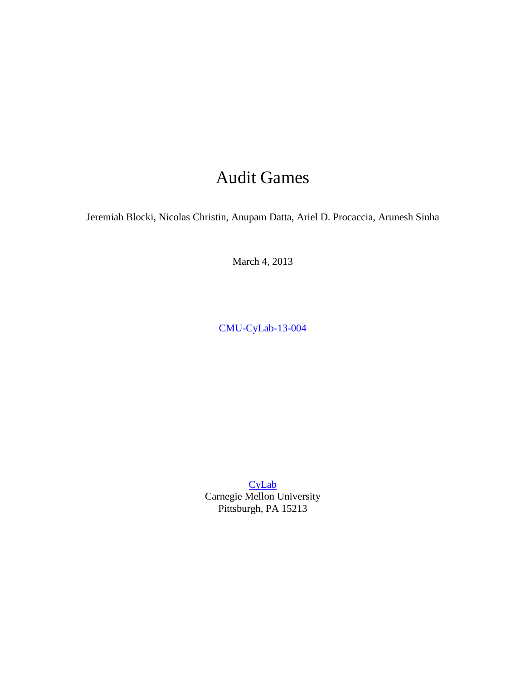# Audit Games

Jeremiah Blocki, Nicolas Christin, Anupam Datta, Ariel D. Procaccia, Arunesh Sinha

March 4, 2013

[CMU-CyLab-13-004](http://www.cylab.cmu.edu/research/techreports/2013/tr_cylab13004.html)

**[CyLab](http://www.cylab.cmu.edu/)** Carnegie Mellon University Pittsburgh, PA 15213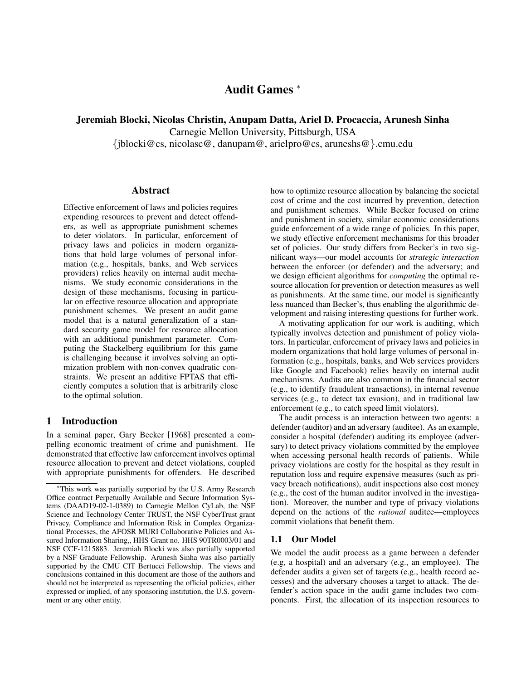# Audit Games <sup>∗</sup>

Jeremiah Blocki, Nicolas Christin, Anupam Datta, Ariel D. Procaccia, Arunesh Sinha

Carnegie Mellon University, Pittsburgh, USA

{jblocki@cs, nicolasc@, danupam@, arielpro@cs, aruneshs@}.cmu.edu

#### Abstract

Effective enforcement of laws and policies requires expending resources to prevent and detect offenders, as well as appropriate punishment schemes to deter violators. In particular, enforcement of privacy laws and policies in modern organizations that hold large volumes of personal information (e.g., hospitals, banks, and Web services providers) relies heavily on internal audit mechanisms. We study economic considerations in the design of these mechanisms, focusing in particular on effective resource allocation and appropriate punishment schemes. We present an audit game model that is a natural generalization of a standard security game model for resource allocation with an additional punishment parameter. Computing the Stackelberg equilibrium for this game is challenging because it involves solving an optimization problem with non-convex quadratic constraints. We present an additive FPTAS that efficiently computes a solution that is arbitrarily close to the optimal solution.

#### 1 Introduction

In a seminal paper, Gary Becker [1968] presented a compelling economic treatment of crime and punishment. He demonstrated that effective law enforcement involves optimal resource allocation to prevent and detect violations, coupled with appropriate punishments for offenders. He described how to optimize resource allocation by balancing the societal cost of crime and the cost incurred by prevention, detection and punishment schemes. While Becker focused on crime and punishment in society, similar economic considerations guide enforcement of a wide range of policies. In this paper, we study effective enforcement mechanisms for this broader set of policies. Our study differs from Becker's in two significant ways—our model accounts for *strategic interaction* between the enforcer (or defender) and the adversary; and we design efficient algorithms for *computing* the optimal resource allocation for prevention or detection measures as well as punishments. At the same time, our model is significantly less nuanced than Becker's, thus enabling the algorithmic development and raising interesting questions for further work.

A motivating application for our work is auditing, which typically involves detection and punishment of policy violators. In particular, enforcement of privacy laws and policies in modern organizations that hold large volumes of personal information (e.g., hospitals, banks, and Web services providers like Google and Facebook) relies heavily on internal audit mechanisms. Audits are also common in the financial sector (e.g., to identify fraudulent transactions), in internal revenue services (e.g., to detect tax evasion), and in traditional law enforcement (e.g., to catch speed limit violators).

The audit process is an interaction between two agents: a defender (auditor) and an adversary (auditee). As an example, consider a hospital (defender) auditing its employee (adversary) to detect privacy violations committed by the employee when accessing personal health records of patients. While privacy violations are costly for the hospital as they result in reputation loss and require expensive measures (such as privacy breach notifications), audit inspections also cost money (e.g., the cost of the human auditor involved in the investigation). Moreover, the number and type of privacy violations depend on the actions of the *rational* auditee—employees commit violations that benefit them.

#### 1.1 Our Model

We model the audit process as a game between a defender (e.g, a hospital) and an adversary (e.g., an employee). The defender audits a given set of targets (e.g., health record accesses) and the adversary chooses a target to attack. The defender's action space in the audit game includes two components. First, the allocation of its inspection resources to

<sup>∗</sup>This work was partially supported by the U.S. Army Research Office contract Perpetually Available and Secure Information Systems (DAAD19-02-1-0389) to Carnegie Mellon CyLab, the NSF Science and Technology Center TRUST, the NSF CyberTrust grant Privacy, Compliance and Information Risk in Complex Organizational Processes, the AFOSR MURI Collaborative Policies and Assured Information Sharing,, HHS Grant no. HHS 90TR0003/01 and NSF CCF-1215883. Jeremiah Blocki was also partially supported by a NSF Graduate Fellowship. Arunesh Sinha was also partially supported by the CMU CIT Bertucci Fellowship. The views and conclusions contained in this document are those of the authors and should not be interpreted as representing the official policies, either expressed or implied, of any sponsoring institution, the U.S. government or any other entity.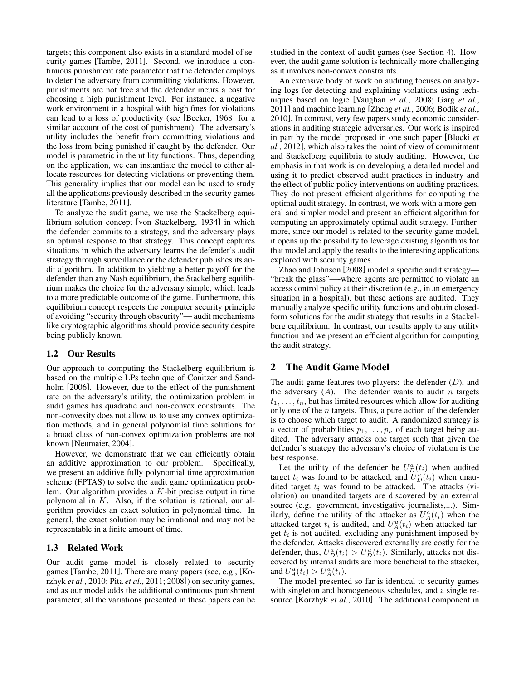targets; this component also exists in a standard model of security games [Tambe, 2011]. Second, we introduce a continuous punishment rate parameter that the defender employs to deter the adversary from committing violations. However, punishments are not free and the defender incurs a cost for choosing a high punishment level. For instance, a negative work environment in a hospital with high fines for violations can lead to a loss of productivity (see [Becker, 1968] for a similar account of the cost of punishment). The adversary's utility includes the benefit from committing violations and the loss from being punished if caught by the defender. Our model is parametric in the utility functions. Thus, depending on the application, we can instantiate the model to either allocate resources for detecting violations or preventing them. This generality implies that our model can be used to study all the applications previously described in the security games literature [Tambe, 2011].

To analyze the audit game, we use the Stackelberg equilibrium solution concept [von Stackelberg, 1934] in which the defender commits to a strategy, and the adversary plays an optimal response to that strategy. This concept captures situations in which the adversary learns the defender's audit strategy through surveillance or the defender publishes its audit algorithm. In addition to yielding a better payoff for the defender than any Nash equilibrium, the Stackelberg equilibrium makes the choice for the adversary simple, which leads to a more predictable outcome of the game. Furthermore, this equilibrium concept respects the computer security principle of avoiding "security through obscurity"— audit mechanisms like cryptographic algorithms should provide security despite being publicly known.

## 1.2 Our Results

Our approach to computing the Stackelberg equilibrium is based on the multiple LPs technique of Conitzer and Sandholm [2006]. However, due to the effect of the punishment rate on the adversary's utility, the optimization problem in audit games has quadratic and non-convex constraints. The non-convexity does not allow us to use any convex optimization methods, and in general polynomial time solutions for a broad class of non-convex optimization problems are not known [Neumaier, 2004].

However, we demonstrate that we can efficiently obtain an additive approximation to our problem. Specifically, we present an additive fully polynomial time approximation scheme (FPTAS) to solve the audit game optimization problem. Our algorithm provides a  $K$ -bit precise output in time polynomial in K. Also, if the solution is rational, our algorithm provides an exact solution in polynomial time. In general, the exact solution may be irrational and may not be representable in a finite amount of time.

#### 1.3 Related Work

Our audit game model is closely related to security games [Tambe, 2011]. There are many papers (see, e.g., [Korzhyk *et al.*, 2010; Pita *et al.*, 2011; 2008]) on security games, and as our model adds the additional continuous punishment parameter, all the variations presented in these papers can be studied in the context of audit games (see Section 4). However, the audit game solution is technically more challenging as it involves non-convex constraints.

An extensive body of work on auditing focuses on analyzing logs for detecting and explaining violations using techniques based on logic [Vaughan *et al.*, 2008; Garg *et al.*, 2011] and machine learning [Zheng *et al.*, 2006; Bodik *et al.*, 2010]. In contrast, very few papers study economic considerations in auditing strategic adversaries. Our work is inspired in part by the model proposed in one such paper [Blocki *et al.*, 2012], which also takes the point of view of commitment and Stackelberg equilibria to study auditing. However, the emphasis in that work is on developing a detailed model and using it to predict observed audit practices in industry and the effect of public policy interventions on auditing practices. They do not present efficient algorithms for computing the optimal audit strategy. In contrast, we work with a more general and simpler model and present an efficient algorithm for computing an approximately optimal audit strategy. Furthermore, since our model is related to the security game model, it opens up the possibility to leverage existing algorithms for that model and apply the results to the interesting applications explored with security games.

Zhao and Johnson [2008] model a specific audit strategy— "break the glass"—-where agents are permitted to violate an access control policy at their discretion (e.g., in an emergency situation in a hospital), but these actions are audited. They manually analyze specific utility functions and obtain closedform solutions for the audit strategy that results in a Stackelberg equilibrium. In contrast, our results apply to any utility function and we present an efficient algorithm for computing the audit strategy.

# 2 The Audit Game Model

The audit game features two players: the defender  $(D)$ , and the adversary  $(A)$ . The defender wants to audit *n* targets  $t_1, \ldots, t_n$ , but has limited resources which allow for auditing only one of the  $n$  targets. Thus, a pure action of the defender is to choose which target to audit. A randomized strategy is a vector of probabilities  $p_1, \ldots, p_n$  of each target being audited. The adversary attacks one target such that given the defender's strategy the adversary's choice of violation is the best response.

Let the utility of the defender be  $U_D^a(t_i)$  when audited target  $t_i$  was found to be attacked, and  $\overline{U}_D^u(t_i)$  when unaudited target  $t_i$  was found to be attacked. The attacks (violation) on unaudited targets are discovered by an external source (e.g. government, investigative journalists,...). Similarly, define the utility of the attacker as  $U_A^a(t_i)$  when the attacked target  $t_i$  is audited, and  $U_A^u(t_i)$  when attacked target  $t_i$  is not audited, excluding any punishment imposed by the defender. Attacks discovered externally are costly for the defender, thus,  $U_D^a(t_i) > U_D^u(t_i)$ . Similarly, attacks not discovered by internal audits are more beneficial to the attacker, and  $U_A^u(t_i) > U_A^a(t_i)$ .

The model presented so far is identical to security games with singleton and homogeneous schedules, and a single resource [Korzhyk *et al.*, 2010]. The additional component in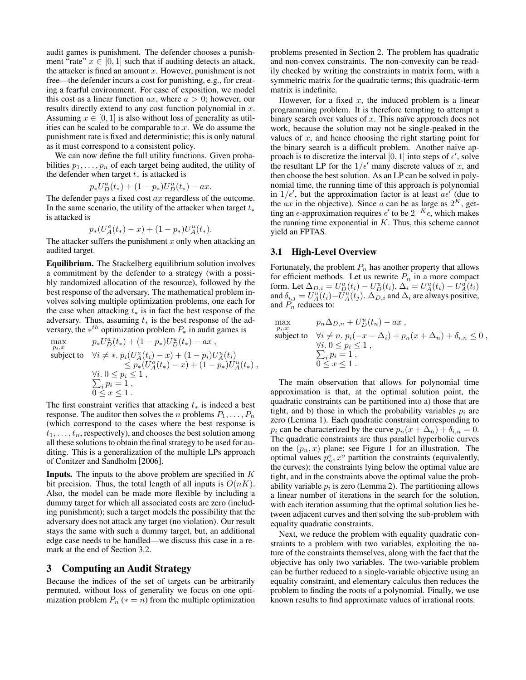audit games is punishment. The defender chooses a punishment "rate"  $x \in [0, 1]$  such that if auditing detects an attack, the attacker is fined an amount  $x$ . However, punishment is not free—the defender incurs a cost for punishing, e.g., for creating a fearful environment. For ease of exposition, we model this cost as a linear function  $ax$ , where  $a > 0$ ; however, our results directly extend to any cost function polynomial in x. Assuming  $x \in [0, 1]$  is also without loss of generality as utilities can be scaled to be comparable to  $x$ . We do assume the punishment rate is fixed and deterministic; this is only natural as it must correspond to a consistent policy.

We can now define the full utility functions. Given probabilities  $p_1, \ldots, p_n$  of each target being audited, the utility of the defender when target  $t_*$  is attacked is

$$
p_* U_D^a(t_*) + (1 - p_*) U_D^u(t_*) - ax.
$$

The defender pays a fixed cost ax regardless of the outcome. In the same scenario, the utility of the attacker when target  $t_*$ is attacked is

$$
p_*(U^a_A(t_*)-x) + (1-p_*)U^u_A(t_*).
$$

The attacker suffers the punishment  $x$  only when attacking an audited target.

Equilibrium. The Stackelberg equilibrium solution involves a commitment by the defender to a strategy (with a possibly randomized allocation of the resource), followed by the best response of the adversary. The mathematical problem involves solving multiple optimization problems, one each for the case when attacking  $t_*$  is in fact the best response of the adversary. Thus, assuming  $t_*$  is the best response of the adversary, the  $*^{th}$  optimization problem  $P_*$  in audit games is

$$
\max_{p_i, x} \qquad p_* U_D^a(t_*) + (1 - p_*) U_D^u(t_*) - ax ,
$$
\nsubject to\n
$$
\forall i \neq *, \ p_i (U_A^a(t_i) - x) + (1 - p_i) U_A^u(t_i)
$$
\n
$$
\leq p_* (U_A^a(t_*) - x) + (1 - p_*) U_A^u(t_*) ,
$$
\n
$$
\forall i. \ 0 \leq p_i \leq 1 ,
$$
\n
$$
\sum_i p_i = 1 ,
$$
\n
$$
0 \leq x \leq 1 .
$$

The first constraint verifies that attacking  $t_*$  is indeed a best response. The auditor then solves the *n* problems  $P_1, \ldots, P_n$ (which correspond to the cases where the best response is  $t_1, \ldots, t_n$ , respectively), and chooses the best solution among all these solutions to obtain the final strategy to be used for auditing. This is a generalization of the multiple LPs approach of Conitzer and Sandholm [2006].

**Inputs.** The inputs to the above problem are specified in  $K$ bit precision. Thus, the total length of all inputs is  $O(nK)$ . Also, the model can be made more flexible by including a dummy target for which all associated costs are zero (including punishment); such a target models the possibility that the adversary does not attack any target (no violation). Our result stays the same with such a dummy target, but, an additional edge case needs to be handled—we discuss this case in a remark at the end of Section 3.2.

## 3 Computing an Audit Strategy

Because the indices of the set of targets can be arbitrarily permuted, without loss of generality we focus on one optimization problem  $P_n$  ( $* = n$ ) from the multiple optimization problems presented in Section 2. The problem has quadratic and non-convex constraints. The non-convexity can be readily checked by writing the constraints in matrix form, with a symmetric matrix for the quadratic terms; this quadratic-term matrix is indefinite.

However, for a fixed  $x$ , the induced problem is a linear programming problem. It is therefore tempting to attempt a binary search over values of x. This naïve approach does not work, because the solution may not be single-peaked in the values of  $x$ , and hence choosing the right starting point for the binary search is a difficult problem. Another naïve approach is to discretize the interval [0, 1] into steps of  $\epsilon'$ , solve the resultant LP for the  $1/\epsilon'$  many discrete values of x, and then choose the best solution. As an LP can be solved in polynomial time, the running time of this approach is polynomial in  $1/\epsilon'$ , but the approximation factor is at least  $a\epsilon'$  (due to the  $ax$  in the objective). Since a can be as large as  $2^K$ , getting an  $\epsilon$ -approximation requires  $\epsilon'$  to be  $2^{-K} \epsilon$ , which makes the running time exponential in  $K$ . Thus, this scheme cannot yield an FPTAS.

#### 3.1 High-Level Overview

Fortunately, the problem  $P_n$  has another property that allows for efficient methods. Let us rewrite  $P_n$  in a more compact form. Let  $\Delta_{D,i} = U_D^a(t_i) - U_D^u(t_i)$ ,  $\Delta_i = U_A^u(t_i) - U_A^a(t_i)$ and  $\delta_{i,j} = U_A^u(t_i) - \tilde{U}_A^u(t_j)$ .  $\Delta_{D,i}$  and  $\Delta_i$  are always positive, and  $P_n$  reduces to:

$$
\max_{\substack{p_i, x \\ \text{subject to}}} \quad p_n \Delta_{D,n} + U_D^u(t_n) - ax ,
$$
\n
$$
\forall i \neq n. \ p_i(-x - \Delta_i) + p_n(x + \Delta_n) + \delta_{i,n} \leq 0 ,
$$
\n
$$
\forall i. \ 0 \leq p_i \leq 1 ,
$$
\n
$$
\sum_{i} p_i = 1 ,
$$
\n
$$
0 \leq x \leq 1 .
$$

The main observation that allows for polynomial time approximation is that, at the optimal solution point, the quadratic constraints can be partitioned into a) those that are tight, and b) those in which the probability variables  $p_i$  are zero (Lemma 1). Each quadratic constraint corresponding to  $p_i$  can be characterized by the curve  $p_n(x + \Delta_n) + \delta_{i,n} = 0$ . The quadratic constraints are thus parallel hyperbolic curves on the  $(p_n, x)$  plane; see Figure 1 for an illustration. The optimal values  $p_n^o, x^o$  partition the constraints (equivalently, the curves): the constraints lying below the optimal value are tight, and in the constraints above the optimal value the probability variable  $p_i$  is zero (Lemma 2). The partitioning allows a linear number of iterations in the search for the solution, with each iteration assuming that the optimal solution lies between adjacent curves and then solving the sub-problem with equality quadratic constraints.

Next, we reduce the problem with equality quadratic constraints to a problem with two variables, exploiting the nature of the constraints themselves, along with the fact that the objective has only two variables. The two-variable problem can be further reduced to a single-variable objective using an equality constraint, and elementary calculus then reduces the problem to finding the roots of a polynomial. Finally, we use known results to find approximate values of irrational roots.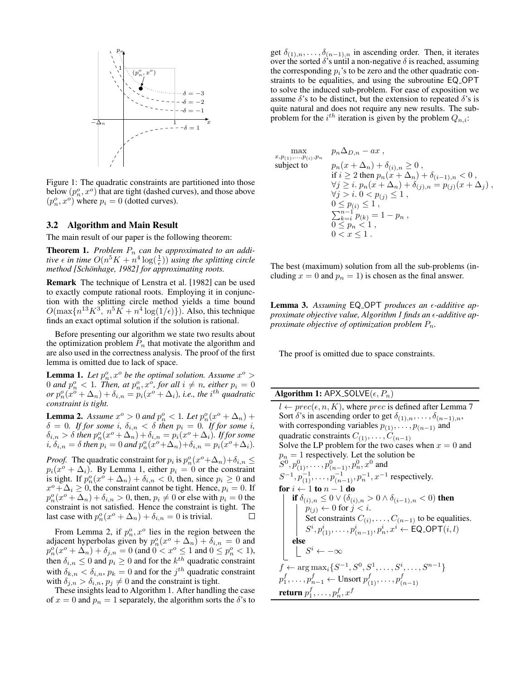

Figure 1: The quadratic constraints are partitioned into those below  $(p_n^o, x^o)$  that are tight (dashed curves), and those above  $(p_n^o, x^o)$  where  $p_i = 0$  (dotted curves).

#### 3.2 Algorithm and Main Result

The main result of our paper is the following theorem:

**Theorem 1.** Problem  $P_n$  can be approximated to an addi*tive*  $\epsilon$  *in time*  $O(n^5K + n^4 \log(\frac{1}{\epsilon}))$  *using the splitting circle method* [Schönhage, 1982] for approximating roots.

Remark The technique of Lenstra et al. [1982] can be used to exactly compute rational roots. Employing it in conjunction with the splitting circle method yields a time bound  $O(\max\{n^{13}K^3, n^5K + n^4\log(1/\epsilon)\})$ . Also, this technique finds an exact optimal solution if the solution is rational.

Before presenting our algorithm we state two results about the optimization problem  $P_n$  that motivate the algorithm and are also used in the correctness analysis. The proof of the first lemma is omitted due to lack of space.

**Lemma 1.** Let  $p_n^o, x^o$  be the optimal solution. Assume  $x^o >$ 0 and  $p_n^o < 1$ . Then, at  $p_n^o, x^o$ , for all  $i \neq n$ , either  $p_i = 0$ *or*  $p_n^o(x^o + \Delta_n) + \delta_{i,n} = p_i(x^o + \Delta_i)$ , *i.e., the i*<sup>th</sup> *quadratic constraint is tight.*

**Lemma 2.** Assume  $x^{\circ} > 0$  and  $p_n^{\circ} < 1$ . Let  $p_n^{\circ}(x^{\circ} + \Delta_n)$  +  $\delta = 0$ *. If for some i,*  $\delta_{i,n} < \delta$  *then*  $p_i = 0$ *. If for some i,*  $\delta_{i,n} > \delta$  *then*  $p_n^o(x^o + \Delta_n) + \delta_{i,n} = p_i(x^o + \Delta_i)$ *. If for some*  $i, \delta_{i,n} = \delta$  then  $p_i = 0$  and  $p_n^o(x^o + \Delta_n) + \delta_{i,n} = p_i(x^o + \Delta_i)$ .

*Proof.* The quadratic constraint for  $p_i$  is  $p_n^o(x^o + \Delta_n) + \delta_{i,n} \leq$  $p_i(x^o + \Delta_i)$ . By Lemma 1, either  $p_i = 0$  or the constraint is tight. If  $p_n^o(x^o + \Delta_n) + \delta_{i,n} < 0$ , then, since  $p_i \ge 0$  and  $x^o + \Delta_i \ge 0$ , the constraint cannot be tight. Hence,  $p_i = 0$ . If  $p_n^o(x^o + \Delta_n) + \delta_{i,n} > 0$ , then,  $p_i \neq 0$  or else with  $p_i = 0$  the constraint is not satisfied. Hence the constraint is tight. The last case with  $p_n^o(x^o + \Delta_n) + \delta_{i,n} = 0$  is trivial.  $\Box$ 

From Lemma 2, if  $p_n^o, x^o$  lies in the region between the adjacent hyperbolas given by  $p_n^o(x^o + \Delta_n) + \delta_{i,n} = 0$  and  $p_n^o(x^o + \Delta_n) + \delta_{j,n} = 0$  (and  $0 < x^o \le 1$  and  $0 \le p_n^o < 1$ ), then  $\delta_{i,n} \leq 0$  and  $p_i \geq 0$  and for the  $k^{th}$  quadratic constraint with  $\delta_{k,n} < \delta_{i,n}$ ,  $p_k = 0$  and for the  $j^{th}$  quadratic constraint with  $\delta_{i,n} > \delta_{i,n}$ ,  $p_i \neq 0$  and the constraint is tight.

These insights lead to Algorithm 1. After handling the case of  $x = 0$  and  $p_n = 1$  separately, the algorithm sorts the  $\delta$ 's to get  $\delta_{(1),n}, \ldots, \delta_{(n-1),n}$  in ascending order. Then, it iterates over the sorted  $\delta$ 's until a non-negative  $\delta$  is reached, assuming the corresponding  $p_i$ 's to be zero and the other quadratic constraints to be equalities, and using the subroutine EQ OPT to solve the induced sub-problem. For ease of exposition we assume  $\delta$ 's to be distinct, but the extension to repeated  $\delta$ 's is quite natural and does not require any new results. The subproblem for the  $i^{th}$  iteration is given by the problem  $Q_{n,i}$ :

$$
\max_{x, p_{(1)}, \dots, p_{(i)}, p_n} \quad p_n \Delta_{D,n} - ax ,
$$
\nsubject to\n
$$
p_n(x + \Delta_n) + \delta_{(i), n} \ge 0 ,
$$
\n
$$
\text{if } i \ge 2 \text{ then } p_n(x + \Delta_n) + \delta_{(i-1), n} < 0 ,
$$
\n
$$
\forall j \ge i. \quad p_n(x + \Delta_n) + \delta_{(j), n} = p_{(j)}(x + \Delta_j) ,
$$
\n
$$
\forall j > i. \quad 0 < p_{(j)} \le 1 ,
$$
\n
$$
0 \le p_{(i)} \le 1 ,
$$
\n
$$
\sum_{k=i}^{n-1} p_{(k)} = 1 - p_n ,
$$
\n
$$
0 \le p_n < 1 ,
$$
\n
$$
0 < x \le 1 .
$$

The best (maximum) solution from all the sub-problems (including  $x = 0$  and  $p_n = 1$ ) is chosen as the final answer.

Lemma 3. Assuming EQ<sub>-</sub>OPT produces an  $\epsilon$ -additive ap*proximate objective value, Algorithm 1 finds an -additive approximate objective of optimization problem* Pn*.*

The proof is omitted due to space constraints.

| <b>Algorithm 1:</b> APX_SOLVE $(\epsilon, P_n)$ |  |  |  |  |  |  |
|-------------------------------------------------|--|--|--|--|--|--|
|-------------------------------------------------|--|--|--|--|--|--|

 $x, p_{(1)}$ 

 $l \leftarrow prec(\epsilon, n, K)$ , where *prec* is defined after Lemma 7 Sort  $\delta$ 's in ascending order to get  $\delta_{(1),n}, \ldots, \delta_{(n-1),n}$ , with corresponding variables  $p_{(1)}, \ldots, p_{(n-1)}$  and quadratic constraints  $C_{(1)}, \ldots, C_{(n-1)}$ Solve the LP problem for the two cases when  $x = 0$  and  $p_n = 1$  respectively. Let the solution be  $S^0, p_{(1)}^0, \ldots, p_{(n-1)}^0, p_n^0, x^0$  and  $S^{-1}, p_{(1)}^{-1}, \ldots, p_{(n-1)}^{-1}, p_n^{-1}, x^{-1}$  respectively. for  $i \leftarrow 1$  to  $n - 1$  do if  $\delta_{(i),n} \leq 0 \vee (\delta_{(i),n} > 0 \wedge \delta_{(i-1),n} < 0)$  then  $p_{(j)} \leftarrow 0$  for  $j < i$ . Set constraints  $C_{(i)}, \ldots, C_{(n-1)}$  to be equalities.  $S^i, p_{(1)}^i, \ldots, p_{(n-1)}^i, p_n^i, x^i \leftarrow \textsf{EQ\_OPT}(i, l)$ else  $S^i \leftarrow -\infty$  $f \leftarrow \arg \max_i \{S^{-1}, S^0, S^1, \dots, S^i, \dots, S^{n-1}\}$  $p_1^f,\ldots,p_{n-1}^f \leftarrow \text{Unsort}\ p_{(1)}^f,\ldots,p_{(n)}^f$  $(n-1)$ return  $p_1^f,\ldots,p_n^f,x^f$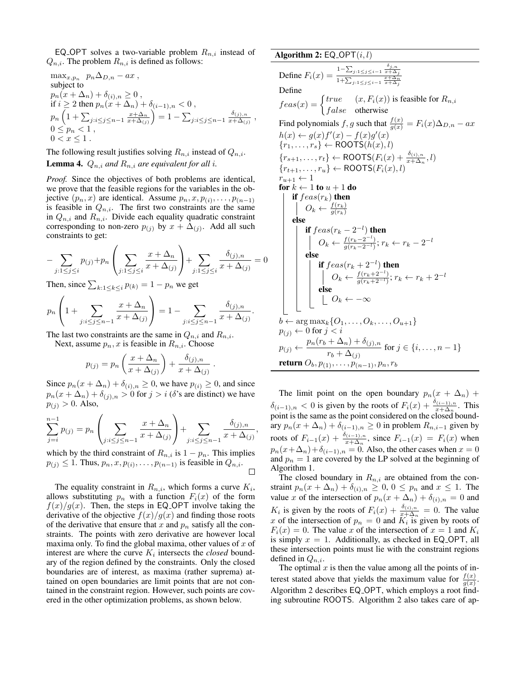EQ OPT solves a two-variable problem  $R_{n,i}$  instead of  $Q_{n,i}$ . The problem  $R_{n,i}$  is defined as follows:

$$
\begin{array}{ll} \displaystyle \max_{x,p_n}\;\; p_n\Delta_{D,n}-ax\;,\\ \mbox{subject to}\\ \displaystyle p_n(x+\Delta_n)+\delta_{(i),n}\geq 0\;,\\ \hbox{if $i\geq 2$ then $p_n(x+\Delta_n)+\delta_{(i-1),n}<0$}\;,\\ \displaystyle p_n\left(1+\sum_{j: i\leq j\leq n-1}\frac{x+\Delta_n}{x+\Delta_{(j)}}\right)=1-\sum_{j: i\leq j\leq n-1}\frac{\delta_{(j),n}}{x+\Delta_{(j)}}\;,\\ \ 0\leq p_n<1\;,\\ \displaystyle 0
$$

The following result justifies solving  $R_{n,i}$  instead of  $Q_{n,i}$ .

**Lemma 4.**  $Q_{n,i}$  *and*  $R_{n,i}$  *are equivalent for all i.* 

*Proof.* Since the objectives of both problems are identical, we prove that the feasible regions for the variables in the objective  $(p_n, x)$  are identical. Assume  $p_n, x, p_{(i)}, \ldots, p_{(n-1)}$ is feasible in  $Q_{n,i}$ . The first two constraints are the same in  $Q_{n,i}$  and  $R_{n,i}$ . Divide each equality quadratic constraint corresponding to non-zero  $p_{(j)}$  by  $x + \Delta_{(j)}$ . Add all such constraints to get:

$$
-\sum_{j:1 \le j \le i} p_{(j)} + p_n \left( \sum_{j:1 \le j \le i} \frac{x + \Delta_n}{x + \Delta_{(j)}} \right) + \sum_{j:1 \le j \le i} \frac{\delta_{(j),n}}{x + \Delta_{(j)}} = 0
$$

Then, since  $\sum_{k:1 \leq k \leq i} p_{(k)} = 1 - p_n$  we get

$$
p_n\left(1+\sum_{j:i\leq j\leq n-1}\frac{x+\Delta_n}{x+\Delta_{(j)}}\right)=1-\sum_{j:i\leq j\leq n-1}\frac{\delta_{(j),n}}{x+\Delta_{(j)}}.
$$

The last two constraints are the same in  $Q_{n,i}$  and  $R_{n,i}$ .

Next, assume  $p_n, x$  is feasible in  $R_{n,i}$ . Choose

$$
p_{(j)} = p_n \left( \frac{x + \Delta_n}{x + \Delta_{(j)}} \right) + \frac{\delta_{(j),n}}{x + \Delta_{(j)}}.
$$

Since  $p_n(x + \Delta_n) + \delta_{(i),n} \ge 0$ , we have  $p_{(i)} \ge 0$ , and since  $p_n(x + \Delta_n) + \delta_{(j),n} > 0$  for  $j > i$  ( $\delta$ 's are distinct) we have  $p_{(i)} > 0$ . Also,

$$
\sum_{j=i}^{n-1} p_{(j)} = p_n \left( \sum_{j:i \le j \le n-1} \frac{x + \Delta_n}{x + \Delta_{(j)}} \right) + \sum_{j:i \le j \le n-1} \frac{\delta_{(j),n}}{x + \Delta_{(j)}}
$$

,

which by the third constraint of  $R_{n,i}$  is  $1 - p_n$ . This implies  $p_{(j)} \leq 1$ . Thus,  $p_n, x, p_{(i)}, \ldots, p_{(n-1)}$  is feasible in  $Q_{n,i}$ .  $\Box$ 

The equality constraint in  $R_{n,i}$ , which forms a curve  $K_i$ , allows substituting  $p_n$  with a function  $F_i(x)$  of the form  $f(x)/g(x)$ . Then, the steps in EQ\_OPT involve taking the derivative of the objective  $f(x)/g(x)$  and finding those roots of the derivative that ensure that x and  $p_n$  satisfy all the constraints. The points with zero derivative are however local maxima only. To find the global maxima, other values of  $x$  of interest are where the curve  $K_i$  intersects the *closed* boundary of the region defined by the constraints. Only the closed boundaries are of interest, as maxima (rather suprema) attained on open boundaries are limit points that are not contained in the constraint region. However, such points are covered in the other optimization problems, as shown below.

#### Algorithm 2:  $EQ$ -OPT $(i, l)$

Define 
$$
F_i(x) = \frac{1 - \sum_{j:1 \leq j \leq i-1} \frac{\delta_{j,n}}{x + \Delta_j}}{1 + \sum_{j:1 \leq j \leq i-1} \frac{x + \Delta_n}{x + \Delta_j}}
$$
 Define\n $feas(x) = \begin{cases} true & (x, F_i(x)) \text{ is feasible for } R_{n,i} \\ false & \text{otherwise} \end{cases}$ \nFind polynomials  $f, g$  such that\n $\frac{f(x)}{g(x)} = F_i(x) \Delta_{D,n} - ax$ \n $h(x) \leftarrow g(x) f'(x) - f(x)g'(x)$ \n $\{r_1, \ldots, r_s\} \leftarrow \text{ROOTS}(h(x), l)$ \n $\{r_{s+1}, \ldots, r_t\} \leftarrow \text{ROOTS}(F_i(x) + \frac{\delta_{(i),n}}{x + \Delta_n}, l)$ \n $\{r_{t+1}, \ldots, r_u\} \leftarrow \text{ROOTS}(F_i(x), l)$ \n $r_{u+1} \leftarrow 1$ \n**for**\n $k \leftarrow 1$ \n**to**\n $u + 1$ \n**do**\n**if**\n $feas(r_k)$ \n**then**\n $O_k \leftarrow \frac{f(r_k)}{g(r_k)}$ \n**else**\n**if**\n $feas(r_k - 2^{-l})$ \n**then**\n $0_k \leftarrow \frac{f(r_k + 2^{-l})}{g(r_k - 2^{-l})}; r_k \leftarrow r_k - 2^{-l}$ \n**else**\n**if**\n $feas(r_k + 2^{-l})$ \n**then**\n $0 \leftarrow \frac{f(r_k + 2^{-l})}{g(r_k + 2^{-l})}; r_k \leftarrow r_k + 2^{-l}$ \n**else**\n $b \leftarrow \arg \max_k \{O_1, \ldots, O_k, \ldots, O_{u+1}\} \quad p_{(j)} \leftarrow 0$ \n**for**\n $j < i$ \n $p_{(j)}, \ldots, p_{(n-1)},$ 

The limit point on the open boundary  $p_n(x + \Delta_n)$  +  $\delta_{(i-1),n} < 0$  is given by the roots of  $F_i(x) + \frac{\delta_{(i-1),n}}{x + \Delta_n}$ . This point is the same as the point considered on the closed boundary  $p_n(x + \Delta_n) + \delta_{(i-1),n} \ge 0$  in problem  $R_{n,i-1}$  given by roots of  $F_{i-1}(x) + \frac{\delta_{(i-1),n}}{x + \Delta_n}$ , since  $F_{i-1}(x) = F_i(x)$  when  $p_n(x+\Delta_n)+\delta_{(i-1),n}=0.$  Also, the other cases when  $x=0$ and  $p_n = 1$  are covered by the LP solved at the beginning of Algorithm 1.

The closed boundary in  $R_{n,i}$  are obtained from the constraint  $p_n(x + \Delta_n) + \delta_{(i),n} \geq 0, 0 \leq p_n$  and  $x \leq 1$ . The value x of the intersection of  $p_n(x + \Delta_n) + \delta_{(i),n} = 0$  and  $K_i$  is given by the roots of  $F_i(x) + \frac{\delta_{(i),n}}{x + \Delta_n} = 0$ . The value x of the intersection of  $p_n = 0$  and  $K_i$  is given by roots of  $F_i(x) = 0$ . The value x of the intersection of  $x = 1$  and  $K_i$ is simply  $x = 1$ . Additionally, as checked in EQ\_OPT, all these intersection points must lie with the constraint regions defined in  $Q_{n,i}$ .

The optimal  $x$  is then the value among all the points of interest stated above that yields the maximum value for  $\frac{f(x)}{g(x)}$ . Algorithm 2 describes EQ OPT, which employs a root finding subroutine ROOTS. Algorithm 2 also takes care of ap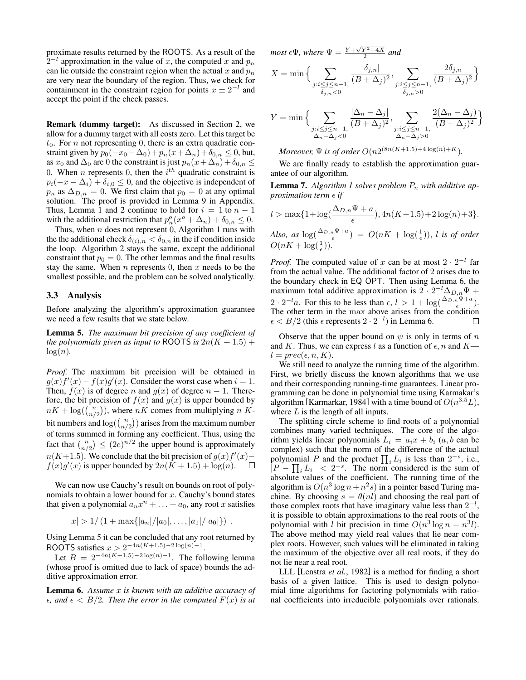proximate results returned by the ROOTS. As a result of the  $2^{-l}$  approximation in the value of x, the computed x and  $p_n$ can lie outside the constraint region when the actual  $x$  and  $p_n$ are very near the boundary of the region. Thus, we check for containment in the constraint region for points  $x \pm 2^{-l}$  and accept the point if the check passes.

Remark (dummy target): As discussed in Section 2, we allow for a dummy target with all costs zero. Let this target be  $t_0$ . For *n* not representing 0, there is an extra quadratic constraint given by  $p_0(-x_0 - \Delta_0) + p_n(x + \Delta_n) + \delta_{0,n} \leq 0$ , but, as  $x_0$  and  $\Delta_0$  are 0 the constraint is just  $p_n(x+\Delta_n)+\delta_{0,n} \leq$ 0. When *n* represents 0, then the  $i^{th}$  quadratic constraint is  $p_i(-x - \Delta_i) + \delta_{i,0} \leq 0$ , and the objective is independent of  $p_n$  as  $\Delta_{D,n} = 0$ . We first claim that  $p_0 = 0$  at any optimal solution. The proof is provided in Lemma 9 in Appendix. Thus, Lemma 1 and 2 continue to hold for  $i = 1$  to  $n - 1$ with the additional restriction that  $p_n^o(x^o + \Delta_n) + \delta_{0,n} \leq 0$ .

Thus, when  $n$  does not represent 0, Algorithm 1 runs with the the additional check  $\delta_{(i),n} < \delta_{0,n}$  in the if condition inside the loop. Algorithm 2 stays the same, except the additional constraint that  $p_0 = 0$ . The other lemmas and the final results stay the same. When  $n$  represents 0, then  $x$  needs to be the smallest possible, and the problem can be solved analytically.

#### 3.3 Analysis

Before analyzing the algorithm's approximation guarantee we need a few results that we state below.

Lemma 5. *The maximum bit precision of any coefficient of the polynomials given as input to* ROOTS *is*  $2n(K + 1.5)$  +  $log(n)$ .

*Proof.* The maximum bit precision will be obtained in  $g(x) f'(x) - f(x)g'(x)$ . Consider the worst case when  $i = 1$ . Then,  $f(x)$  is of degree n and  $g(x)$  of degree  $n - 1$ . Therefore, the bit precision of  $f(x)$  and  $g(x)$  is upper bounded by  $nK + \log(\binom{n}{n/2})$ , where  $nK$  comes from multiplying n Kbit numbers and  $log(\binom{n}{n/2})$  arises from the maximum number of terms summed in forming any coefficient. Thus, using the fact that  $\binom{n}{n/2} \leq (2e)^{n/2}$  the upper bound is approximately  $n(K+1.5)$ . We conclude that the bit precision of  $g(x)f'(x)$  –  $f(x)g'(x)$  is upper bounded by  $2n(K + 1.5) + \log(n)$ .  $\Box$ 

We can now use Cauchy's result on bounds on root of polynomials to obtain a lower bound for  $x$ . Cauchy's bound states that given a polynomial  $a_n x^n + \ldots + a_0$ , any root x satisfies

$$
|x| > 1/(1 + \max\{|a_n|/|a_0|,\ldots,|a_1|/|a_0|\})
$$
.

Using Lemma 5 it can be concluded that any root returned by ROOTS satisfies  $x > 2^{-4n(K+1.5)-2\log(n)-1}$ .

Let  $B = 2^{-4n(K+1.5)-2\log(n)-1}$ . The following lemma (whose proof is omitted due to lack of space) bounds the additive approximation error.

Lemma 6. *Assume* x *is known with an additive accuracy of*  $\epsilon$ *, and*  $\epsilon$   $\langle$  *B*/2*.* Then the error in the computed  $F(x)$  is at

*most*  $\epsilon \Psi$ *, where*  $\Psi = \frac{Y + \sqrt{Y^2 + 4X}}{2}$  *and* 

$$
X=\min\Big\{\sum_{\substack{j:i\leq j\leq n-1,\\ \delta_{j,n}<0}}\frac{|\delta_{j,n}|}{(B+\Delta_j)^2},\sum_{\substack{j:i\leq j\leq n-1,\\ \delta_{j,n}>0}}\frac{2\delta_{j,n}}{(B+\Delta_j)^2}\Big\}
$$

$$
Y = \min\Big\{\sum_{\substack{j:i \le j \le n-1, \\ \Delta_n - \Delta_j < 0}} \frac{|\Delta_n - \Delta_j|}{(B + \Delta_j)^2}, \sum_{\substack{j:i \le j \le n-1, \\ \Delta_n - \Delta_j > 0}} \frac{2(\Delta_n - \Delta_j)}{(B + \Delta_j)^2}\Big\}
$$

*Moreover,*  $\Psi$  *is of order*  $O(n2^{(8n(K+1.5)+4\log(n)+K})$ *.* 

We are finally ready to establish the approximation guarantee of our algorithm.

**Lemma 7.** Algorithm 1 solves problem  $P_n$  with additive ap*proximation term*  $\epsilon$  *if* 

$$
l > \max\{1 + \log(\frac{\Delta_{D,n}\Psi + a}{\epsilon}), 4n(K + 1.5) + 2\log(n) + 3\}.
$$

Also, as  $\log(\frac{\Delta_{D,n}\Psi+a}{\epsilon}) = O(nK + \log(\frac{1}{\epsilon}))$ , *l is of order*  $O(nK + \log(\frac{1}{\epsilon}))$ .

*Proof.* The computed value of x can be at most  $2 \cdot 2^{-l}$  far from the actual value. The additional factor of 2 arises due to the boundary check in EQ OPT. Then using Lemma 6, the maximum total additive approximation is  $2 \cdot 2^{-l} \Delta_{D,n} \Psi +$  $2 \cdot 2^{-l}a$ . For this to be less than  $\epsilon, l > 1 + \log(\frac{\Delta_{D,n} \Psi + a}{\epsilon})$ . The other term in the max above arises from the condition  $\epsilon < B/2$  (this  $\epsilon$  represents  $2 \cdot 2^{-l}$ ) in Lemma 6.  $\Box$ 

Observe that the upper bound on  $\psi$  is only in terms of n and K. Thus, we can express l as a function of  $\epsilon$ , n and K  $l = prec(\epsilon, n, K).$ 

We still need to analyze the running time of the algorithm. First, we briefly discuss the known algorithms that we use and their corresponding running-time guarantees. Linear programming can be done in polynomial time using Karmakar's algorithm [Karmarkar, 1984] with a time bound of  $O(n^{3.5}L)$ , where  $L$  is the length of all inputs.

The splitting circle scheme to find roots of a polynomial combines many varied techniques. The core of the algorithm yields linear polynomials  $L_i = a_i x + b_i$  (a, b can be complex) such that the norm of the difference of the actual polynomial P and the product  $\prod_i L_i$  is less than  $2^{-s}$ , i.e.,  $\left| P - \prod_i L_i \right| < 2^{-s}$ . The norm considered is the sum of absolute values of the coefficient. The running time of the algorithm is  $O(n^3 \log n + n^2 s)$  in a pointer based Turing machine. By choosing  $s = \theta(nl)$  and choosing the real part of those complex roots that have imaginary value less than  $2^{-l}$ , it is possible to obtain approximations to the real roots of the polynomial with l bit precision in time  $O(n^3 \log n + n^3 l)$ . The above method may yield real values that lie near complex roots. However, such values will be eliminated in taking the maximum of the objective over all real roots, if they do not lie near a real root.

LLL [Lenstra *et al.*, 1982] is a method for finding a short basis of a given lattice. This is used to design polynomial time algorithms for factoring polynomials with rational coefficients into irreducible polynomials over rationals.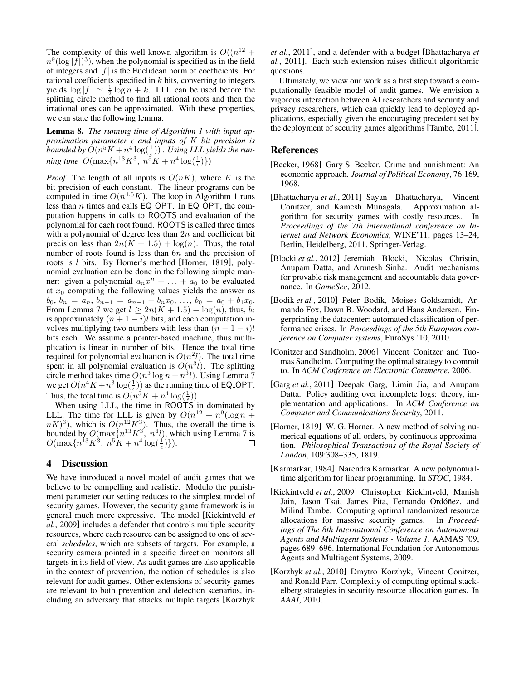The complexity of this well-known algorithm is  $O((n^{12} +$  $n^9(\log |\hat{f}|)^3$ , when the polynomial is specified as in the field of integers and  $|f|$  is the Euclidean norm of coefficients. For rational coefficients specified in  $k$  bits, converting to integers yields  $\log |f| \simeq \frac{1}{2} \log n + k$ . LLL can be used before the splitting circle method to find all rational roots and then the irrational ones can be approximated. With these properties, we can state the following lemma.

Lemma 8. *The running time of Algorithm 1 with input approximation parameter and inputs of* K *bit precision is* bounded by  $\hat{O}(n^5K + n^4\log(\frac{1}{\epsilon}))$ . Using LLL yields the run*ning time*  $O(\max\{n^{13}K^3, n^5K + n^4\log(\frac{1}{\epsilon})\})$ 

*Proof.* The length of all inputs is  $O(nK)$ , where K is the bit precision of each constant. The linear programs can be computed in time  $O(n^{4.5}K)$ . The loop in Algorithm 1 runs less than  $n$  times and calls EQ\_OPT. In EQ\_OPT, the computation happens in calls to ROOTS and evaluation of the polynomial for each root found. ROOTS is called three times with a polynomial of degree less than  $2n$  and coefficient bit precision less than  $2n(K + 1.5) + \log(n)$ . Thus, the total number of roots found is less than  $6n$  and the precision of roots is l bits. By Horner's method [Horner, 1819], polynomial evaluation can be done in the following simple manner: given a polynomial  $a_n x^n + \ldots + a_0$  to be evaluated at  $x_0$  computing the following values yields the answer as  $b_0, b_n = a_n, b_{n-1} = a_{n-1} + b_n x_0, \ldots, b_0 = a_0 + b_1 x_0.$ From Lemma 7 we get  $l \geq 2n(K + 1.5) + \log(n)$ , thus,  $b_i$ is approximately  $(n + 1 - i)l$  bits, and each computation involves multiplying two numbers with less than  $(n + 1 - i)l$ bits each. We assume a pointer-based machine, thus multiplication is linear in number of bits. Hence the total time required for polynomial evaluation is  $O(n^2l)$ . The total time spent in all polynomial evaluation is  $O(n^3l)$ . The splitting circle method takes time  $O(n^3 \log n + n^3 l)$ . Using Lemma 7 we get  $O(n^4K + n^3 \log(\frac{1}{\epsilon}))$  as the running time of EQ\_OPT. Thus, the total time is  $O(n^5K + n^4 \log(\frac{1}{\epsilon}))$ .

When using LLL, the time in ROOTS in dominated by LLL. The time for LLL is given by  $O(n^{12} + n^9(\log n +$  $(nK)^3$ ), which is  $O(n^{12}K^3)$ . Thus, the overall the time is bounded by  $O(\max\{n^{13}K^3, n^4l)$ , which using Lemma 7 is  $O(\max\{n^{13}K^3, n^5K + n^4\log(\frac{1}{\epsilon})\}).$ 

# 4 Discussion

We have introduced a novel model of audit games that we believe to be compelling and realistic. Modulo the punishment parameter our setting reduces to the simplest model of security games. However, the security game framework is in general much more expressive. The model [Kiekintveld *et al.*, 2009] includes a defender that controls multiple security resources, where each resource can be assigned to one of several *schedules*, which are subsets of targets. For example, a security camera pointed in a specific direction monitors all targets in its field of view. As audit games are also applicable in the context of prevention, the notion of schedules is also relevant for audit games. Other extensions of security games are relevant to both prevention and detection scenarios, including an adversary that attacks multiple targets [Korzhyk *et al.*, 2011], and a defender with a budget [Bhattacharya *et al.*, 2011]. Each such extension raises difficult algorithmic questions.

Ultimately, we view our work as a first step toward a computationally feasible model of audit games. We envision a vigorous interaction between AI researchers and security and privacy researchers, which can quickly lead to deployed applications, especially given the encouraging precedent set by the deployment of security games algorithms [Tambe, 2011].

#### References

- [Becker, 1968] Gary S. Becker. Crime and punishment: An economic approach. *Journal of Political Economy*, 76:169, 1968.
- [Bhattacharya *et al.*, 2011] Sayan Bhattacharya, Vincent Conitzer, and Kamesh Munagala. Approximation algorithm for security games with costly resources. In *Proceedings of the 7th international conference on Internet and Network Economics*, WINE'11, pages 13–24, Berlin, Heidelberg, 2011. Springer-Verlag.
- [Blocki *et al.*, 2012] Jeremiah Blocki, Nicolas Christin, Anupam Datta, and Arunesh Sinha. Audit mechanisms for provable risk management and accountable data governance. In *GameSec*, 2012.
- [Bodik *et al.*, 2010] Peter Bodik, Moises Goldszmidt, Armando Fox, Dawn B. Woodard, and Hans Andersen. Fingerprinting the datacenter: automated classification of performance crises. In *Proceedings of the 5th European conference on Computer systems*, EuroSys '10, 2010.
- [Conitzer and Sandholm, 2006] Vincent Conitzer and Tuomas Sandholm. Computing the optimal strategy to commit to. In *ACM Conference on Electronic Commerce*, 2006.
- [Garg *et al.*, 2011] Deepak Garg, Limin Jia, and Anupam Datta. Policy auditing over incomplete logs: theory, implementation and applications. In *ACM Conference on Computer and Communications Security*, 2011.
- [Horner, 1819] W. G. Horner. A new method of solving numerical equations of all orders, by continuous approximation. *Philosophical Transactions of the Royal Society of London*, 109:308–335, 1819.
- [Karmarkar, 1984] Narendra Karmarkar. A new polynomialtime algorithm for linear programming. In *STOC*, 1984.
- [Kiekintveld *et al.*, 2009] Christopher Kiekintveld, Manish Jain, Jason Tsai, James Pita, Fernando Ordóñez, and Milind Tambe. Computing optimal randomized resource allocations for massive security games. In *Proceedings of The 8th International Conference on Autonomous Agents and Multiagent Systems - Volume 1*, AAMAS '09, pages 689–696. International Foundation for Autonomous Agents and Multiagent Systems, 2009.
- [Korzhyk et al., 2010] Dmytro Korzhyk, Vincent Conitzer, and Ronald Parr. Complexity of computing optimal stackelberg strategies in security resource allocation games. In *AAAI*, 2010.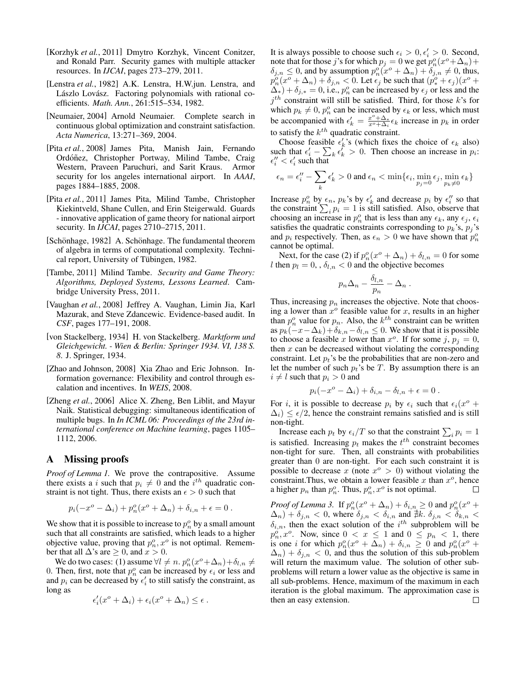- [Korzhyk *et al.*, 2011] Dmytro Korzhyk, Vincent Conitzer, and Ronald Parr. Security games with multiple attacker resources. In *IJCAI*, pages 273–279, 2011.
- [Lenstra *et al.*, 1982] A.K. Lenstra, H.W.jun. Lenstra, and Lászlo Lovász. Factoring polynomials with rational coefficients. *Math. Ann.*, 261:515–534, 1982.
- [Neumaier, 2004] Arnold Neumaier. Complete search in continuous global optimization and constraint satisfaction. *Acta Numerica*, 13:271–369, 2004.
- [Pita *et al.*, 2008] James Pita, Manish Jain, Fernando Ordóñez, Christopher Portway, Milind Tambe, Craig Western, Praveen Paruchuri, and Sarit Kraus. Armor security for los angeles international airport. In *AAAI*, pages 1884–1885, 2008.
- [Pita *et al.*, 2011] James Pita, Milind Tambe, Christopher Kiekintveld, Shane Cullen, and Erin Steigerwald. Guards - innovative application of game theory for national airport security. In *IJCAI*, pages 2710–2715, 2011.
- [Schönhage, 1982] A. Schönhage. The fundamental theorem of algebra in terms of computational complexity. Technical report, University of Tübingen, 1982.
- [Tambe, 2011] Milind Tambe. *Security and Game Theory: Algorithms, Deployed Systems, Lessons Learned*. Cambridge University Press, 2011.
- [Vaughan *et al.*, 2008] Jeffrey A. Vaughan, Limin Jia, Karl Mazurak, and Steve Zdancewic. Evidence-based audit. In *CSF*, pages 177–191, 2008.
- [von Stackelberg, 1934] H. von Stackelberg. *Marktform und Gleichgewicht. - Wien & Berlin: Springer 1934. VI, 138 S. 8*. J. Springer, 1934.
- [Zhao and Johnson, 2008] Xia Zhao and Eric Johnson. Information governance: Flexibility and control through escalation and incentives. In *WEIS*, 2008.
- [Zheng *et al.*, 2006] Alice X. Zheng, Ben Liblit, and Mayur Naik. Statistical debugging: simultaneous identification of multiple bugs. In *In ICML 06: Proceedings of the 23rd international conference on Machine learning*, pages 1105– 1112, 2006.

# A Missing proofs

*Proof of Lemma 1.* We prove the contrapositive. Assume there exists a *i* such that  $p_i \neq 0$  and the *i*<sup>th</sup> quadratic constraint is not tight. Thus, there exists an  $\epsilon > 0$  such that

$$
p_i(-x^o - \Delta_i) + p_n^o(x^o + \Delta_n) + \delta_{i,n} + \epsilon = 0.
$$

We show that it is possible to increase to  $p_n^o$  by a small amount such that all constraints are satisfied, which leads to a higher objective value, proving that  $p_n^o, x^o$  is not optimal. Remember that all  $\Delta$ 's are  $\geq 0$ , and  $x > 0$ .

We do two cases: (1) assume  $\forall l \neq n$ .  $p_n^o(x^o + \Delta_n) + \delta_{l,n} \neq$ 0. Then, first, note that  $p_n^o$  can be increased by  $\epsilon_i$  or less and and  $p_i$  can be decreased by  $\epsilon'_i$  to still satisfy the constraint, as long as

$$
\epsilon'_i(x^o + \Delta_i) + \epsilon_i(x^o + \Delta_n) \leq \epsilon.
$$

It is always possible to choose such  $\epsilon_i > 0, \epsilon'_i > 0$ . Second, note that for those j's for which  $p_j = 0$  we get  $p_n^o(x^o + \Delta_n)$  +  $\delta_{j,n} \leq 0$ , and by assumption  $p_n^o(x^o + \Delta_n) + \delta_{j,n} \neq 0$ , thus,  $p_n^o(x^o + \Delta_n) + \delta_{j,n} < 0$ . Let  $\epsilon_j$  be such that  $(p_*^o + \epsilon_j)(x^o +$  $\Delta^*$ ) +  $\delta_{j,*} = 0$ , i.e.,  $p_n^o$  can be increased by  $\epsilon_j$  or less and the  $j<sup>th</sup>$  constraint will still be satisfied. Third, for those k's for which  $p_k \neq 0$ ,  $p_n^o$  can be increased by  $\epsilon_k$  or less, which must be accompanied with  $\epsilon'_k = \frac{x^{\circ} + \Delta_*}{x^{\circ} + \Delta_i} \epsilon_k$  increase in  $p_k$  in order to satisfy the  $k^{th}$  quadratic constraint.

Choose feasible  $\epsilon'_k$ 's (which fixes the choice of  $\epsilon_k$  also) such that  $\epsilon'_i - \sum_k \epsilon''_k > 0$ . Then choose an increase in  $p_i$ :  $\epsilon''_i < \epsilon'_i$  such that

$$
\epsilon_n = \epsilon''_i - \sum_k \epsilon'_k > 0 \text{ and } \epsilon_n < \min\{\epsilon_i, \min_{p_j=0} \epsilon_j, \min_{p_k \neq 0} \epsilon_k\}
$$

Increase  $p_n^o$  by  $\epsilon_n$ ,  $p_k$ 's by  $\epsilon'_k$  and decrease  $p_i$  by  $\epsilon''_i$  so that the constraint  $\sum_i p_i = 1$  is still satisfied. Also, observe that choosing an increase in  $p_n^o$  that is less than any  $\epsilon_k$ , any  $\epsilon_j$ ,  $\epsilon_i$ satisfies the quadratic constraints corresponding to  $p_k$ 's,  $p_j$ 's and  $p_i$  respectively. Then, as  $\epsilon_n > 0$  we have shown that  $p_n^o$ cannot be optimal.

Next, for the case (2) if  $p_n^o(x^o + \Delta_n) + \delta_{l,n} = 0$  for some l then  $p_l = 0$ , ,  $\delta_{l,n} < 0$  and the objective becomes

$$
p_n\Delta_n-\frac{\delta_{l,n}}{p_n}-\Delta_n.
$$

Thus, increasing  $p_n$  increases the objective. Note that choosing a lower than  $x^{\circ}$  feasible value for x, results in an higher than  $p_n^o$  value for  $p_n$ . Also, the  $k^{th}$  constraint can be written as  $p_k(-x-\Delta_k)+\delta_{k,n}-\delta_{l,n} \leq 0$ . We show that it is possible to choose a feasible x lower than  $x^{\circ}$ . If for some j,  $p_j = 0$ , then  $x$  can be decreased without violating the corresponding constraint. Let  $p_t$ 's be the probabilities that are non-zero and let the number of such  $p_t$ 's be T. By assumption there is an  $i \neq l$  such that  $p_i > 0$  and

$$
p_i(-x^o - \Delta_i) + \delta_{i,n} - \delta_{l,n} + \epsilon = 0.
$$

For *i*, it is possible to decrease  $p_i$  by  $\epsilon_i$  such that  $\epsilon_i(x^{\circ} +$  $\Delta_i$ )  $\leq \epsilon/2$ , hence the constraint remains satisfied and is still non-tight.

Increase each  $p_t$  by  $\epsilon_i/T$  so that the constraint  $\sum_i p_i = 1$ is satisfied. Increasing  $p_t$  makes the  $t^{th}$  constraint becomes non-tight for sure. Then, all constraints with probabilities greater than 0 are non-tight. For each such constraint it is possible to decrease x (note  $x^{\circ} > 0$ ) without violating the constraint. Thus, we obtain a lower feasible x than  $x^o$ , hence a higher  $p_n$  than  $p_n^o$ . Thus,  $p_n^o$ ,  $x^o$  is not optimal.  $\Box$ 

*Proof of Lemma 3.* If  $p_n^o(x^o + \Delta_n) + \delta_{i,n} \geq 0$  and  $p_n^o(x^o +$  $(\Delta_n) + \delta_{j,n} < 0$ , where  $\delta_{j,n} < \delta_{i,n}$  and  $\sharp k$ .  $\delta_{j,n} < \delta_{k,n} <$  $\delta_{i,n}$ , then the exact solution of the  $i^{th}$  subproblem will be  $p_n^o, x^o$ . Now, since  $0 < x \le 1$  and  $0 \le p_n < 1$ , there is one *i* for which  $p_n^o(x^o + \Delta_n) + \delta_{i,n} \geq 0$  and  $p_n^o(x^o +$  $\Delta_n$ ) +  $\delta_{j,n}$  < 0, and thus the solution of this sub-problem will return the maximum value. The solution of other subproblems will return a lower value as the objective is same in all sub-problems. Hence, maximum of the maximum in each iteration is the global maximum. The approximation case is then an easy extension.□